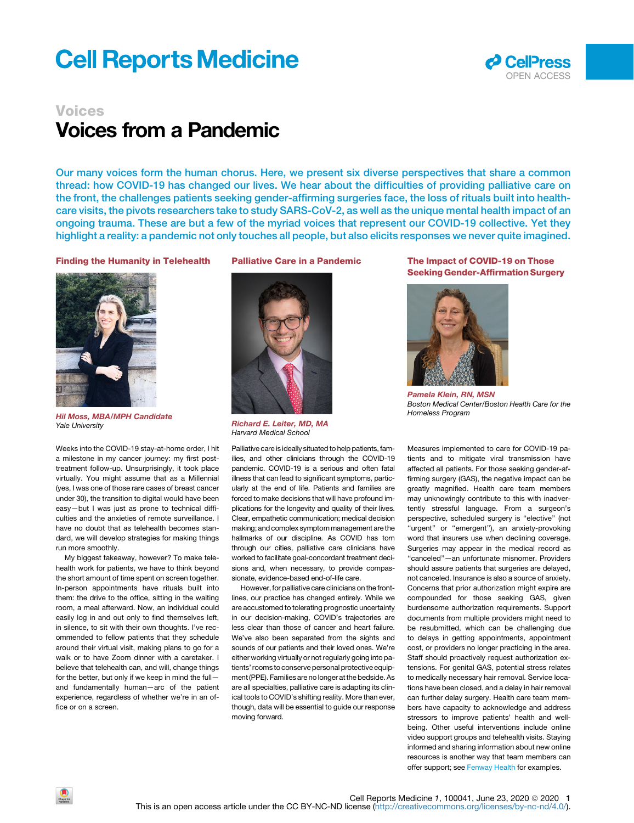# **Cell Reports Medicine**



## Voices Voices from a Pandemic

Our many voices form the human chorus. Here, we present six diverse perspectives that share a common thread: how COVID-19 has changed our lives. We hear about the difficulties of providing palliative care on the front, the challenges patients seeking gender-affirming surgeries face, the loss of rituals built into healthcare visits, the pivots researchers take to study SARS-CoV-2, as well as the unique mental health impact of an ongoing trauma. These are but a few of the myriad voices that represent our COVID-19 collective. Yet they highlight a reality: a pandemic not only touches all people, but also elicits responses we never quite imagined.

#### Finding the Humanity in Telehealth



Hil Moss, MBA/MPH Candidate *Yale University*

Weeks into the COVID-19 stay-at-home order, I hit a milestone in my cancer journey: my first posttreatment follow-up. Unsurprisingly, it took place virtually. You might assume that as a Millennial (yes, I was one of those rare cases of breast cancer under 30), the transition to digital would have been easy-but I was just as prone to technical difficulties and the anxieties of remote surveillance. I have no doubt that as telehealth becomes standard, we will develop strategies for making things run more smoothly.

My biggest takeaway, however? To make telehealth work for patients, we have to think beyond the short amount of time spent on screen together. In-person appointments have rituals built into them: the drive to the office, sitting in the waiting room, a meal afterward. Now, an individual could easily log in and out only to find themselves left, in silence, to sit with their own thoughts. I've recommended to fellow patients that they schedule around their virtual visit, making plans to go for a walk or to have Zoom dinner with a caretaker. I believe that telehealth can, and will, change things for the better, but only if we keep in mind the full and fundamentally human—arc of the patient experience, regardless of whether we're in an office or on a screen.

Palliative Care in a Pandemic



Richard E. Leiter, MD, MA *Harvard Medical School*

Palliative care is ideally situated to help patients, families, and other clinicians through the COVID-19 pandemic. COVID-19 is a serious and often fatal illness that can lead to significant symptoms, particularly at the end of life. Patients and families are forced to make decisions that will have profound implications for the longevity and quality of their lives. Clear, empathetic communication; medical decision making; and complex symptommanagement are the hallmarks of our discipline. As COVID has torn through our cities, palliative care clinicians have worked to facilitate goal-concordant treatment decisions and, when necessary, to provide compassionate, evidence-based end-of-life care.

However, for palliative care clinicians on the frontlines, our practice has changed entirely. While we are accustomed to tolerating prognostic uncertainty in our decision-making, COVID's trajectories are less clear than those of cancer and heart failure. We've also been separated from the sights and sounds of our patients and their loved ones. We're either working virtually or not regularly going into patients' rooms to conserve personal protective equipment (PPE). Families are no longer at the bedside. As are all specialties, palliative care is adapting its clinical tools to COVID's shifting reality. More than ever, though, data will be essential to guide our response moving forward.

### The Impact of COVID-19 on Those Seeking Gender-Affirmation Surgery



Pamela Klein, RN, MSN *Boston Medical Center/Boston Health Care for the Homeless Program*

Measures implemented to care for COVID-19 patients and to mitigate viral transmission have affected all patients. For those seeking gender-affirming surgery (GAS), the negative impact can be greatly magnified. Health care team members may unknowingly contribute to this with inadvertently stressful language. From a surgeon's perspective, scheduled surgery is ''elective'' (not "urgent" or "emergent"), an anxiety-provoking word that insurers use when declining coverage. Surgeries may appear in the medical record as ''canceled''—an unfortunate misnomer. Providers should assure patients that surgeries are delayed, not canceled. Insurance is also a source of anxiety. Concerns that prior authorization might expire are compounded for those seeking GAS, given burdensome authorization requirements. Support documents from multiple providers might need to be resubmitted, which can be challenging due to delays in getting appointments, appointment cost, or providers no longer practicing in the area. Staff should proactively request authorization extensions. For genital GAS, potential stress relates to medically necessary hair removal. Service locations have been closed, and a delay in hair removal can further delay surgery. Health care team members have capacity to acknowledge and address stressors to improve patients' health and wellbeing. Other useful interventions include online video support groups and telehealth visits. Staying informed and sharing information about new online resources is another way that team members can offer support; see [Fenway Health](https://fenwayhealth.org/care/medical/transgender-health/) for examples.